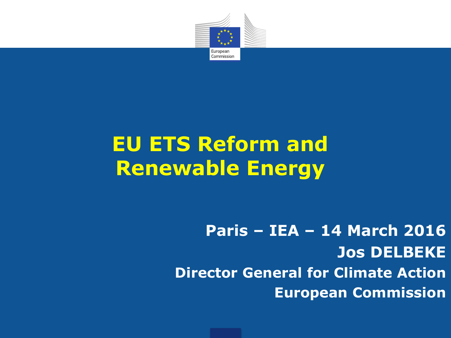

# **EU ETS Reform and Renewable Energy**

**Paris – IEA – 14 March 2016 Jos DELBEKE Director General for Climate Action European Commission**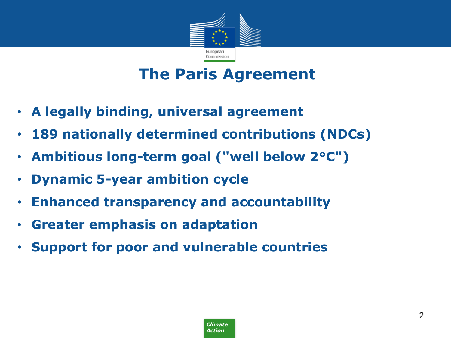

### **The Paris Agreement**

- **A legally binding, universal agreement**
- **189 nationally determined contributions (NDCs)**
- **Ambitious long-term goal ("well below 2°C")**
- **Dynamic 5-year ambition cycle**
- **Enhanced transparency and accountability**
- **Greater emphasis on adaptation**
- **Support for poor and vulnerable countries**

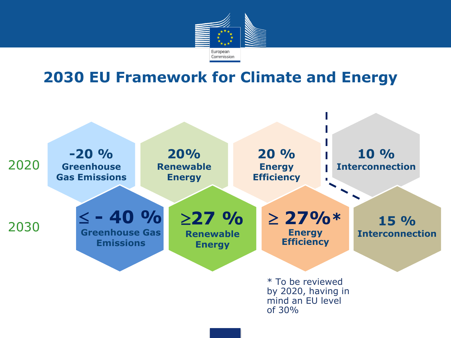

#### **2030 EU Framework for Climate and Energy**

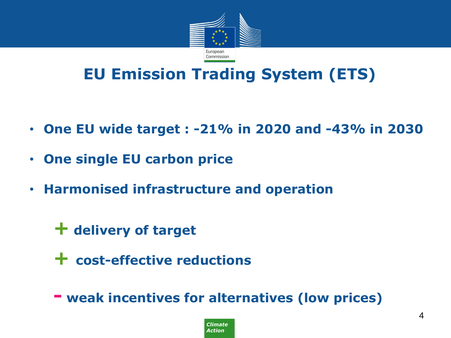

### **EU Emission Trading System (ETS)**

- **One EU wide target : -21% in 2020 and -43% in 2030**
- **One single EU carbon price**
- **Harmonised infrastructure and operation**
	- **+ delivery of target**
	- **+ cost-effective reductions**

 **- weak incentives for alternatives (low prices)**

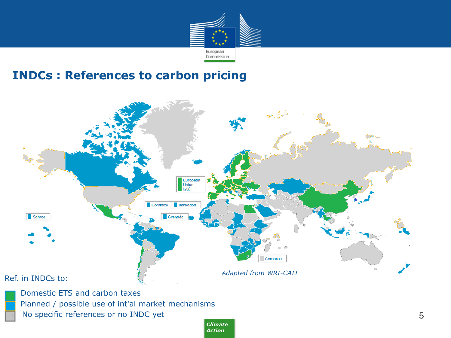

#### **INDCs : References to carbon pricing**



*Climate Action*

5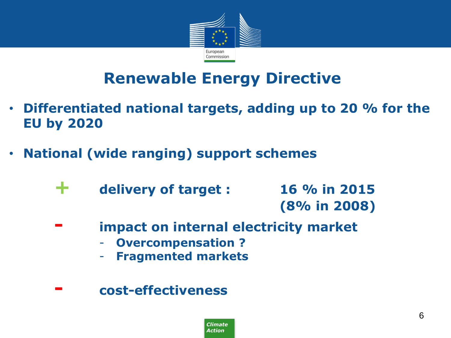

### **Renewable Energy Directive**

- **Differentiated national targets, adding up to 20 % for the EU by 2020**
- **National (wide ranging) support schemes**
	- **+ delivery of target : 16 % in 2015 (8% in 2008)**
	- **impact on internal electricity market** 
		- **Overcompensation ?**
		- **Fragmented markets**
	- **- cost-effectiveness**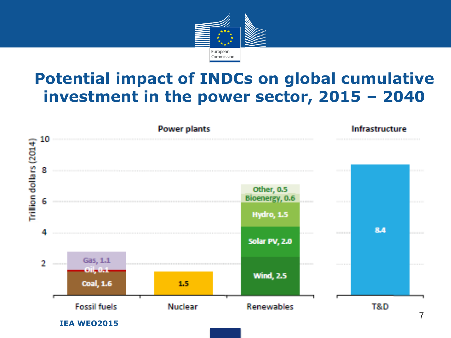

### **Potential impact of INDCs on global cumulative investment in the power sector, 2015 – 2040**

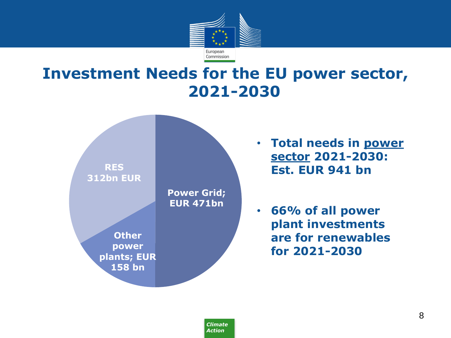

#### **Investment Needs for the EU power sector, 2021-2030**

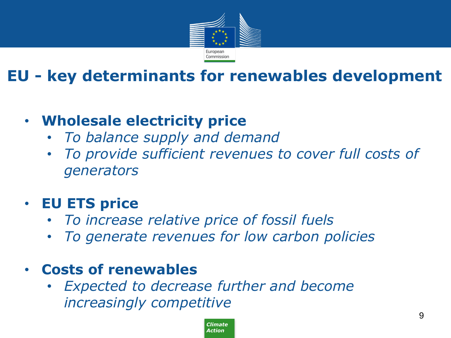

# **EU - key determinants for renewables development**

### • **Wholesale electricity price**

- *To balance supply and demand*
- *To provide sufficient revenues to cover full costs of generators*

#### • **EU ETS price**

- *To increase relative price of fossil fuels*
- *To generate revenues for low carbon policies*

#### • **Costs of renewables**

• *Expected to decrease further and become increasingly competitive*

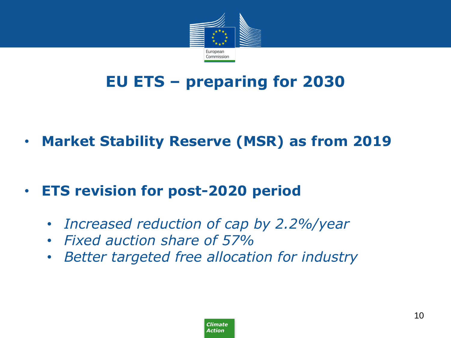

# **EU ETS – preparing for 2030**

- **Market Stability Reserve (MSR) as from 2019**
- **ETS revision for post-2020 period**
	- *Increased reduction of cap by 2.2%/year*
	- *Fixed auction share of 57%*
	- *Better targeted free allocation for industry*

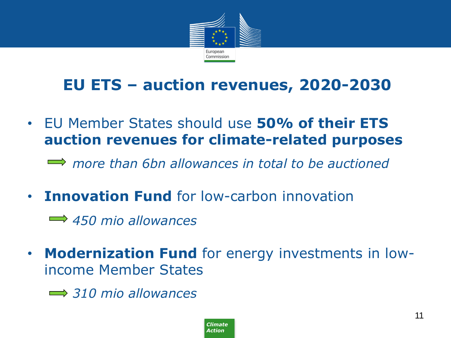

### **EU ETS – auction revenues, 2020-2030**

• EU Member States should use **50% of their ETS auction revenues for climate-related purposes**

*more than 6bn allowances in total to be auctioned*

• **Innovation Fund** for low-carbon innovation

*450 mio allowances*

- **Modernization Fund** for energy investments in lowincome Member States
	- *310 mio allowances*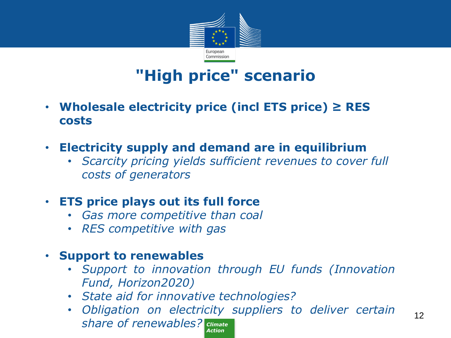

# **"High price" scenario**

- **Wholesale electricity price (incl ETS price) ≥ RES costs**
- **Electricity supply and demand are in equilibrium**
	- *Scarcity pricing yields sufficient revenues to cover full costs of generators*

#### • **ETS price plays out its full force**

- *Gas more competitive than coal*
- *RES competitive with gas*

#### • **Support to renewables**

- *Support to innovation through EU funds (Innovation Fund, Horizon2020)*
- *State aid for innovative technologies?*
- *Climate share of renewables? Action* • *Obligation on electricity suppliers to deliver certain*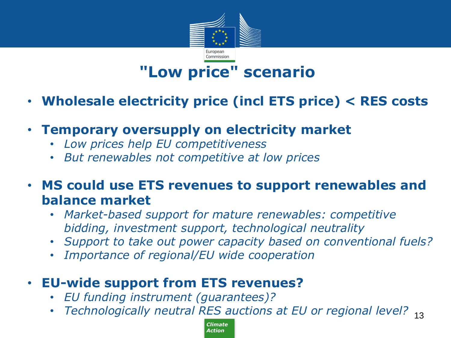

# **"Low price" scenario**

- **Wholesale electricity price (incl ETS price) < RES costs**
- **Temporary oversupply on electricity market**
	- *Low prices help EU competitiveness*
	- *But renewables not competitive at low prices*
- **MS could use ETS revenues to support renewables and balance market**
	- *Market-based support for mature renewables: competitive bidding, investment support, technological neutrality*
	- *Support to take out power capacity based on conventional fuels?*
	- *Importance of regional/EU wide cooperation*
- **EU-wide support from ETS revenues?**
	- *EU funding instrument (guarantees)?*
	- Technologically neutral RES auctions at EU or regional level? <sub>13</sub>

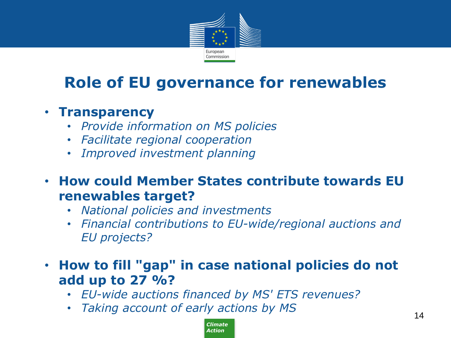

# **Role of EU governance for renewables**

#### • **Transparency**

- *Provide information on MS policies*
- *Facilitate regional cooperation*
- *Improved investment planning*
- **How could Member States contribute towards EU renewables target?**
	- *National policies and investments*
	- *Financial contributions to EU-wide/regional auctions and EU projects?*
- **How to fill "gap" in case national policies do not add up to 27 %?**
	- *EU-wide auctions financed by MS' ETS revenues?*
	- *Taking account of early actions by MS*

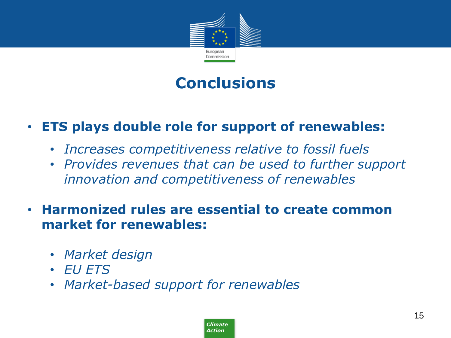

### **Conclusions**

#### • **ETS plays double role for support of renewables:**

- *Increases competitiveness relative to fossil fuels*
- *Provides revenues that can be used to further support innovation and competitiveness of renewables*
- **Harmonized rules are essential to create common market for renewables:**
	- *Market design*
	- *EU ETS*
	- *Market-based support for renewables*